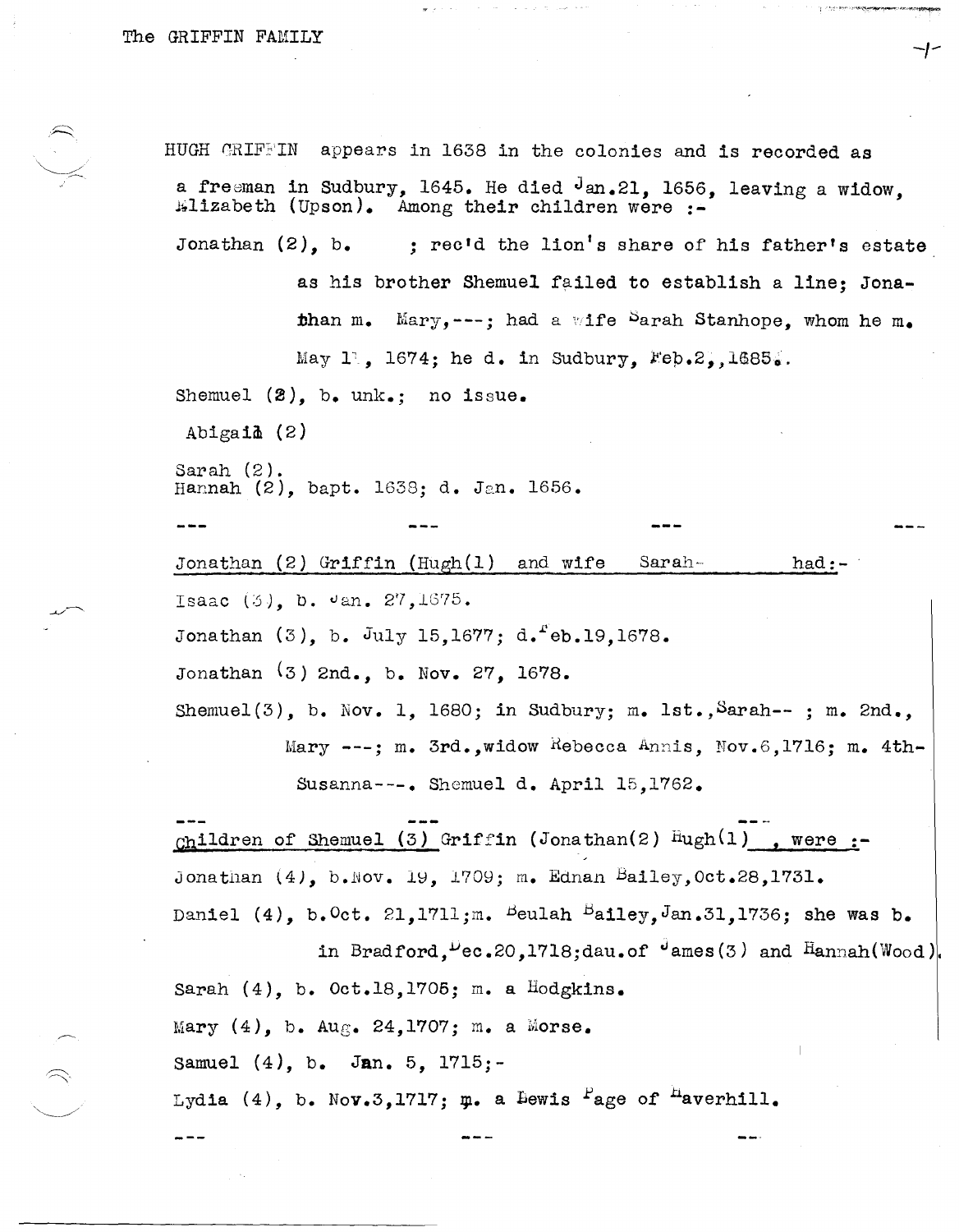$\leftarrow$ 

HUGH GRIFFIN appears in 1638 in the colonies and is recorded as a freeman in Sudbury, 1645. He died  $J_{an.21}$ , 1656, leaving a widow.  $\texttt{Kllizableth}$  (Upson). Among their children were :-Jonathan (2), b. ; rec'd the lion's share of his father's estate as his brother Shemuel failed to establish a line; Jonathan m. Mary, ---; had a wife  $\frac{S}{a}$ rah Stanhope, whom he m. May  $1$ , 1674; he d. in Sudbury, Feb.2, 1685. Shemuel  $(2)$ , b. unk.; no issue. Abigai $\Delta$  (2) Sarah (2). Hannah  $(2)$ , bapt. 1638; d. Jan. 1656. Jonathan (2) Griffin (Hugh(l) and wife Isaac  $(3)$ , b.  $\sigma$ an. 27,1675. Sarah-- Jonathan  $(3)$ , b. July 15,1677; d. eb.19,1678. Jonathan (3) 2nd., b. Nov. 27, 1678. had:- Shemuel(3), b. Nov. 1, 1680; in Sudbury; m. lst., Sarah--; m. 2nd., Mary  $---$ ; m. 3rd.,widow Rebecca Annis, Nov.6,1716; m. 4th-Susanna---. Shemuel d. April 15,1762.  $_{\text{Ch}}$ ildren of Shemuel (3) Griffin (Jonathan(2)  $\text{Hugh}(1)$  , were  $:=$ Jonathan  $(4)$ , b.Nov. 19, 1709; m. Ednan Bailey, Oct.28,1731. Daniel (4), b. Oct. 21, 1711;m. Beulah Bailey, Jan.31, 1736; she was b. in Bradford,  $Pec.20.1718$ ;dau.of  $\theta$ ames(3) and Hannah(Wood). Sarah  $(4)$ , b. Oct.18,1705; m. a Hodgkins. Mary  $(4)$ , b. Aug. 24,1707; m. a Morse. samuel (4), b. Jan. 5, 1715;- Lydia (4), b. Nov.3,1717;  $\mu$ . a Bewis <sup>F</sup>age of <sup>n</sup>averhill.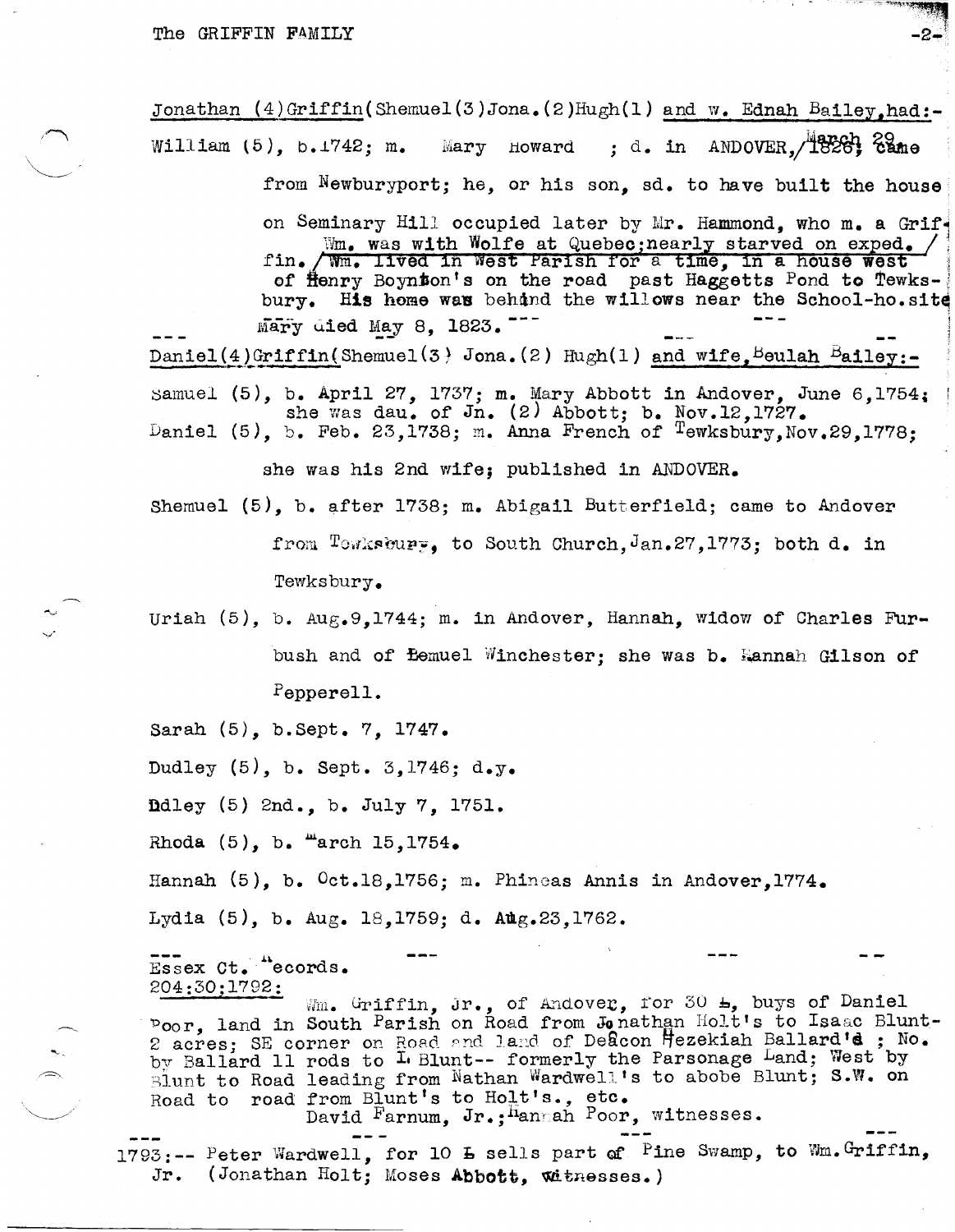$\sim$ 

Jonathan  $(4)$  Griffin(Shemuel(3)Jona.(2)Hugh(1) and w. Ednah Bailey.had:-William  $(5)$ , b.  $1742$ ; m. Mary Howard ; d. in ANDOVER,  $\sqrt{1826}$ ;  $\frac{1}{2840}$ from  $N$ ewburyport; he, or his son, sd. to have built the house on Seminary Hill occupied later by Mr. Hammond, who m. a Grif-Wm. was with Wolfe at Quebec; nearly starved on exped. / fin. / Wm. lived in West Parish for a time. in a house west of Henry Boynton's on the road past Haggetts Pond to Tewksbury. His home was behind the willows near the School-ho.site Mary died May 8, 1823.

Daniel(4)Griffin(Shemuel(3) Jona.(2) Hugh(1) and wife. Beulah Bailey:-

samuel (5), b. April 27, 1737; m. Mary Abbott in Andover, June 6,1754. she was dau. of Jn. (2) Abbott; b. Nov.12,1727. Daniel (5), b. Feb. 23,1738; *m.* Anna French of Tewksbury,Nov.29,1778;

she was his 2nd wife; published in ANDOVER.

Shemuel  $(5)$ , b. after 1738; m. Abigail Butterfield; came to Andover from  $T$ owkscupp. to South Church, Jan.27,1773; both d. in Tewksbury.

Uriah (5), b. Aug.9,1744; m. in Andover, Hannah, widow of Charles Furbush and of *Bemuel Winchester;* she was b. Hannah Gilson of Pepperell.

Sarah (5), b.Sept. 7, 1747.

Dudley (5), b. Sept. 3,1746; d.y.

ndley {5} 2nd., b. July 7, 1751.

Rhoda  $(5)$ , b.  $m$ arch 15,1754.

Hannah (5), b.  $0$ ct.18.1756; m. Phineas Annis in Andover.1774.

Lydia  $(5)$ , b. Aug. 18,1759; d. Aug.23,1762.

Essex Ct. "ecords. 204:30;1792:

Wm. Griffin, Jr., of Andover, for 30  $\text{L}_1$  buys of Daniel 'poor land in South Parish on Road from Jo nathan Holt's to Isaac Blunt-2 acres; SE corner on Road and land of Deacon Hezekiah Ballard's ; No. by Ballard 11 rods to  $1.$  Blunt-- formerly the Parsonage Land; West by Blunt to Road leading from Nathan Wardwell's to abobe Blunt; S.W. on  $R$ oad to road from Blunt's to  $H$ ol.t's., etc.

David Farnum, Jr.; hanmah Poor, witnesses.

1793:-- Peter Wardwell, for 10 **b** sells part of Pine Swamp, to Wm.Griffin, Jr. (Jonathan Holt; Moses Abbott, Witnesses.)

-2-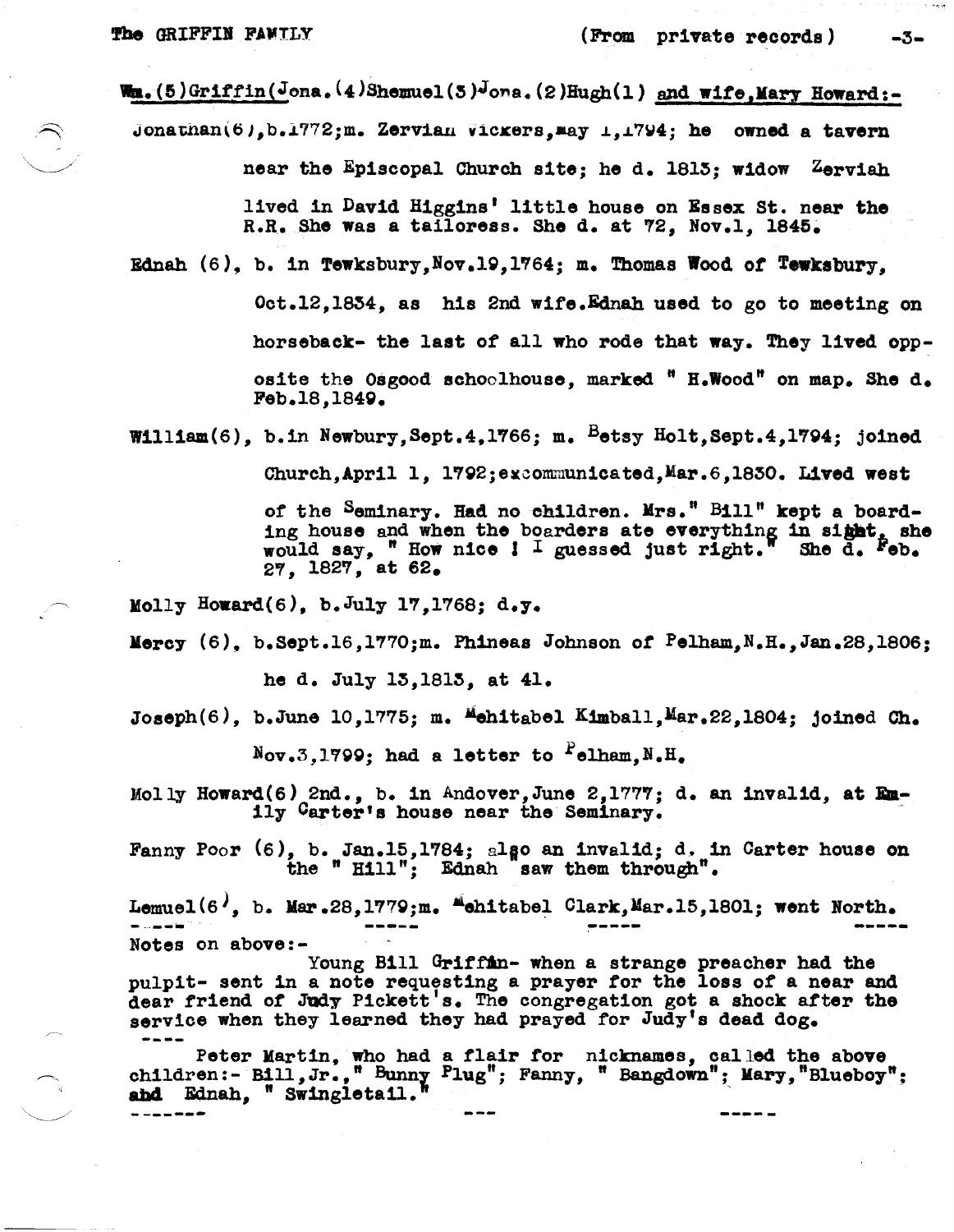. <u>. . . . . . .</u> .

 $-3-$ 

Wm. (5)Griffin(Jona. (4)Shemuel(3)Jona. (2)Hugh(1) and wife, Mary Howard:-

Jonathan(6), b.1772; m. Zervian Vickers, may  $\perp$ , 1794; he owned a tavern near the Episcopal Church site; he d. 1813; widow Zerviah

lived in David Higgins' little house on Essex St. near the R.R. She was a tailoress. She d. at 72, Nov.1, 1845.

Ednah  $(6)$ , b. in Tewksbury, Nov. 19, 1764; m. Thomas Wood of Tewksbury.

Oct.12.1854, as his 2nd wife.Ednah used to go to meeting on horseback- the last of all who rode that way. They lived opposite the Osgood schoolhouse, marked " H.Wood" on map. She d. Feb.18.1849.

William(6), b.in Newbury, Sept. 4, 1766; m.  $B$ etsy Holt, Sept. 4, 1794; joined

Church.April 1. 1792:excommunicated.Mar.6.1830. Lived west

of the Seminary. Had no children. Mrs." Bill" kept a boarding house and when the boarders ate everything in sight, she would say, " How nice ! I guessed just right." She d. Feb. 27. 1827, at 62.

Molly Howard(6), b. July 17, 1768; d.y.

Mercy (6), b.Sept.16,1770;m. Phineas Johnson of Pelham, N.H., Jan.28, 1806;

he d. July 15.1815, at 41.

Joseph $(6)$ , b.June 10,1775; m. Mehitabel Kimball, Mar.22,1804; joined Ch.

 $N_{\rm OV}, 3.1799$ ; had a letter to  $r_{\rm clham} N_{\rm e} H_{\rm e}$ 

Molly Howard(6) 2nd., b. in Andover, June 2, 1777; d. an invalid, at Emily Carter's house near the Seminary.

Fanny Poor (6), b. Jan.15,1784; also an invalid; d. in Carter house on the "Hill": Ednah saw them through".

Lemuel(6<sup> $\prime$ </sup>, b. Mar.28,1779;m. "chitabel Clark, Mar.15,1801; went North. Notes on above:-

Young Bill Griffin- when a strange preacher had the pulpit- sent in a note requesting a prayer for the loss of a near and dear friend of Judy Pickett's. The congregation got a shock after the service when they learned they had prayed for Judy's dead dog.

Peter Martin, who had a flair for nicknames, called the above<br>children:- Bill, Jr., "Bunny Plug"; Fanny, "Bangdown"; Mary, "Blueboy"; and Ednah, " Swingletail.

-----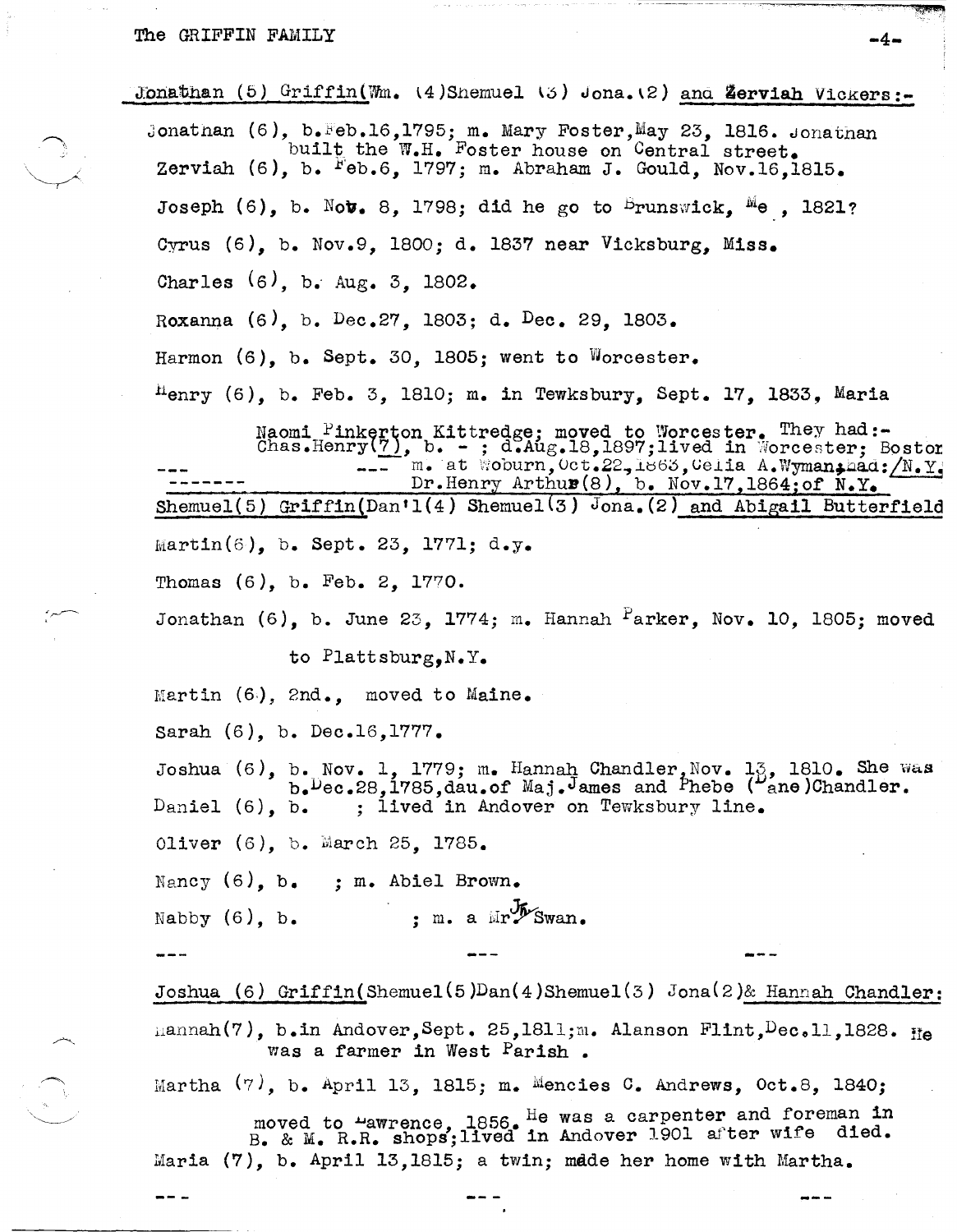Jonathan (5) Griffin(Wm.  $(4)$ Snemuel  $(5)$  Jona. $(2)$  and Zerviah Vickers:-

Jonathan  $(6)$ , b. Feb.16, 1795; m. Mary Foster, May 23, 1816. Jonathan built the W.H. Foster house on Central street. Zerviah  $(6)$ , b.  $F_{\theta b}$ .6, 1797; m. Abraham J. Gould, Nov.16,1815. Joseph  $(6)$ , b. Nov. 8, 1798; did he go to  $\frac{1}{2}$  runswick,  $\frac{1}{2}$  , 1821? Cyrus (6), b. Nov.9, 1800; d. 1837 near Vicksburg, Miss. Charles  $(6)$ , b. Aug. 3, 1802. Roxanna (6), b. Dec.27, 1803; d. Dec. 29, 1803. Harmon (6), b. Sept. 30, 1805; went to Worcester.

 ${}^{\text{H}}$ enry (6), b. Feb. 3, 1810; m. in Tewksbury, Sept. 17, 1833, Maria

Naomi Pinkerton Kittredge; moved to Worcester. They had: Chas.Henry(7), b. - ; d.Aug.18,1897;lived in Worcester; Boston: \_\_\_ m. at Woburn, Oct.22,1863, Celia A. Wyman; m. at Woburn, Oct.22, 1863, Celia A.Wyman, had: /N.Y.<br>Dr.Henry Arthus(8), b. Nov.17, 1864; of N.Y. Shemuel(5) Griffin(Dan'l(4) Shemuel(3) Jona.(2) and Abigail Butterfield  $Martin(6)$ , b. Sept. 23, 1771; d.y. Thomas (6), b. Feb. 2, 1770.

Jonathan  $(6)$ , b. June 23, 1774; m. Hannah  $P$ arker, Nov. 10, 1805; moved

to Plattsburg,N.Y.

Martin  $(6)$ , 2nd., moved to Maine.

Sarah (6), b. Dec.16,1777.

Joshua (6), b. Nov. 1, 1779; m. Hannah Chandler, Nov. 13, 1810. She was<br>b. Dec.28,1785,dau.of Maj. James and Phebe ( ane)Chandler. Daniel  $(6)$ , b. b. ; lived in Andover on Tewksbury line.

0liver (6), b. March 25, 1785.

Nancy (6), b. ; m. Abiel Brown.

Nabby  $(6)$ , b.  $\qquad \qquad ;$  m. a  $\text{Mr}\mathscr{W}$ Swan.

Joshua (6) Griffin(Shemue1(5)Dan(4)Shemue1(3) Jona(2)& Hannah Chandler:  $\text{Hamnah}(7)$ , b.in Andover, Sept. 25,1811;m. Alanson Flint,  $\text{Dec.11}$ , 1828. He was a farmer in West Parish •

Martha  $(7)$ , b. April 13, 1815; m. Mencies C. Andrews, Oct.8, 1840;

moved to  $\frac{4}{3}$  awrence. 1856. He was a carpenter and foreman in moved to mawrence, 1850. Which will noved to make the died. Maria (7), b. April 13,1815; a twin; made her home with Martha.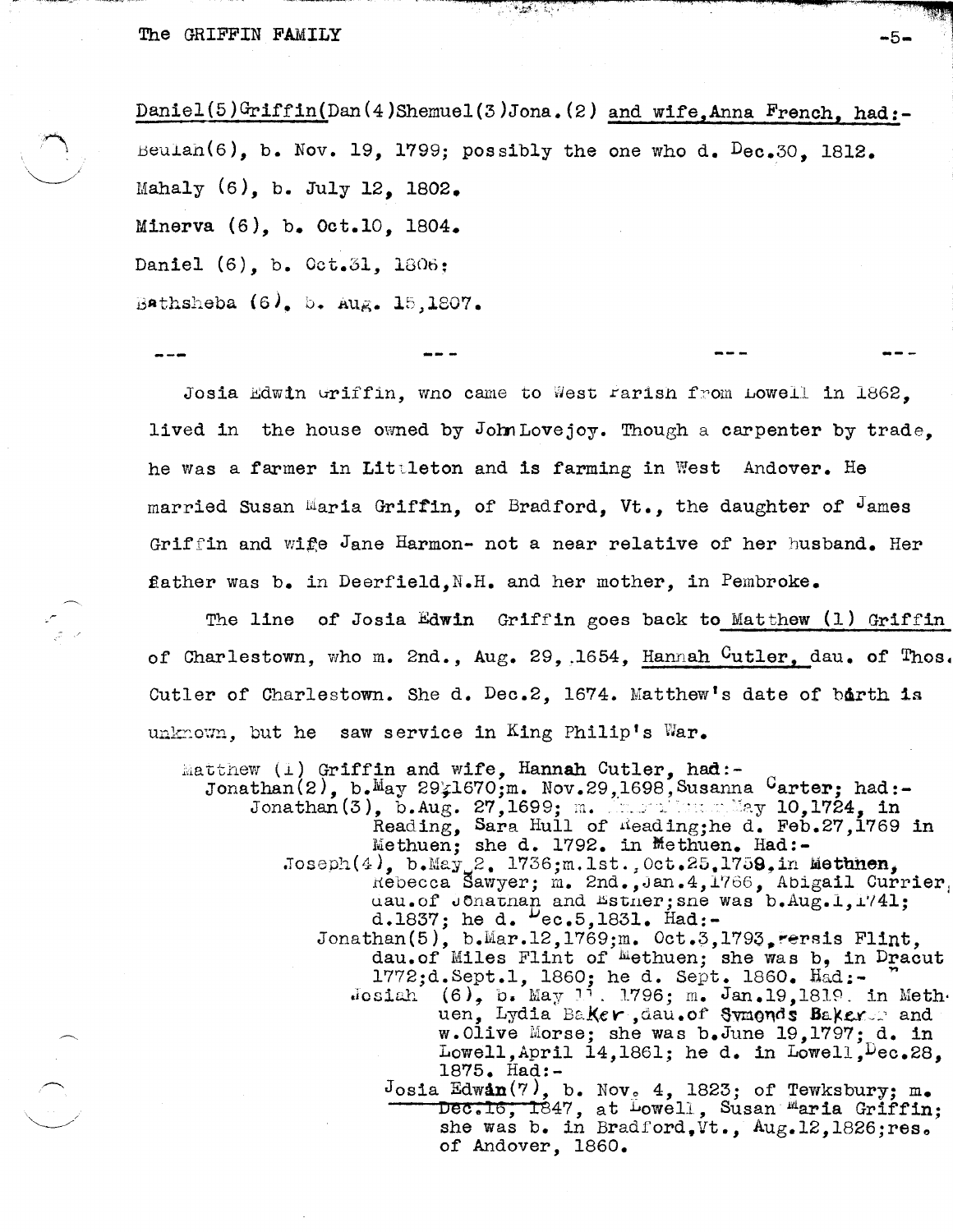$Daniel(5)Griffin(Dan(4)Shemuel(3)Jona.(2) and wife, Anna French, had:-$ Beulah(6), b. Nov. 19, 1799; possibly the one who d.  $Dec.30$ , 1812. Maha1y (6), b. July 12, 1802. Minerva (6), b. Oct.10, 1804. Daniel (6), b. Oct.31, 1806: Bathsheba  $(6)$ , b. Aug. 15,1807.

्र इंग्लिश

 $\mathcal{L}(\mathbf{z})$ 

Josia Edwin Griffin, wno came to West rarish from Lowell in 1862, lived in the house owned by JohnLovejoy. Though a carpenter by trade. he was a farmer in Littleton and is farming in West Andover. He married Susan Maria Griffin, of Bradford, Vt., the daughter of  $\theta$  ames Griffin and wife Jane Harmon- not a near relative of her husband. Her father was b. in Deerfield, N.H. and her mother, in Pembroke.

The line of Josia Edwin Griffin goes back to Matthew (1) Griffin of Charlestown, who m. 2nd., Aug. 29, 1654, Hannah Cutler, dau. of Thos. Cutler of Charlestown. She d. Dec.2.  $1674.$  Matthew's date of barth is unknown, but he saw service in King Philip's War.

 $\text{match}$  (1) Griffin and wife, Hannah Cutler, had:-Jonathan(2), b.May 29 $\frac{1670}{, m}$ . Nov.29,1698, Susanna Carter; had:-<br>Jonathan(3), b.Aug. 27,1699; m. Ang. 10,1724, in Reading, Sara Hull of  $\Lambda$ eading;he d. Feb.27,1769 in Methuen; she d. 1792. in Methuen. Had:- $Joseph(4)$ , b.May 2. 1736;m.1st., Oct.25.1759, in Methnen, Rebecca Sawyer; m. 2nd., Jan.4,1766, Abigail Currier. uau.of Jonathan and Esther; sne was b.Aug.1,1741; d.1837; he d.  $P_{ec.5,1831.}$  Had:-Jonathan(5), b.Mar.12,1769;m. Oct.3,1793, Fersis Flint, dau.of Miles Flint of Methuen; she was b, in Dracut 1772;d. Sept.1, 1860; he d. Sept. 1860. Had:- $J$ osiah (6), b. May 11. 1796; m. Jan.19,1819. in Methuen, Lydia Baker, dau.of Symends Baker. and w.01ive Morse; she was b.June 19,1797; d. in Lowell, April 14,1861; he d. in Lowell,  $Dec.28$ , 1875. Had:- Josia Edwan(7), b. Nov<sub>2</sub> 4, 1823; of Tewksbury; m.  $\overline{\text{Dec.16, 1847}}$ , at Lowell, Susan Maria Griffin; she was b. in Bradford.Vt., Aug.12,1826;res. of Andover, 1860.

"")JI ~Riit''''i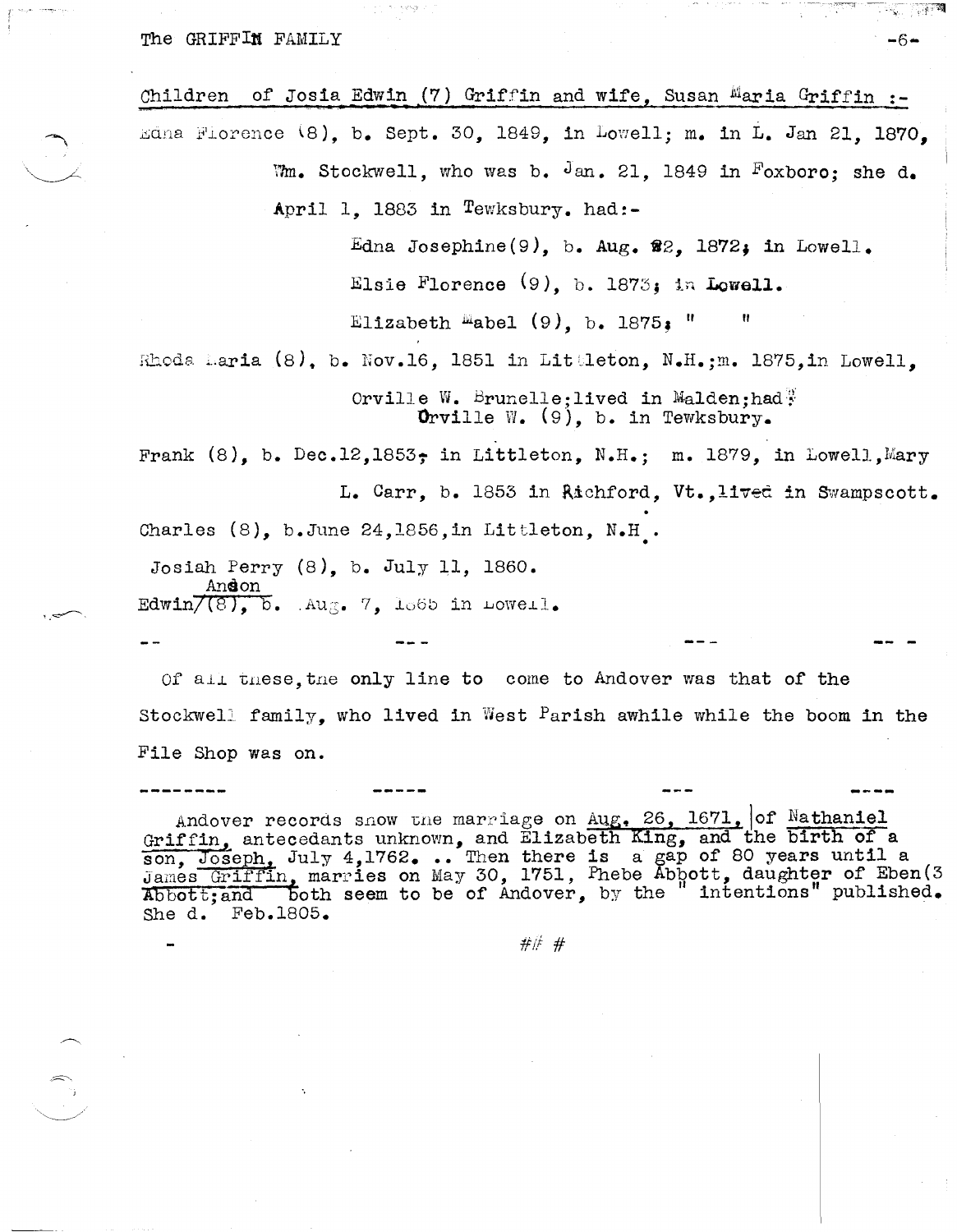The GRIFFIN FAMILY

of Josia Edwin (7) Griffin and wife, Susan Maria Griffin :-Children Edna Florence (8). b. Sept. 30, 1849, in Lowell; m. in L. Jan 21, 1870. Wm. Stockwell, who was b. Jan. 21, 1849 in Foxboro; she d. April 1. 1883 in Tewksbury. had:-Edna Josephine(9), b. Aug.  $\mathcal{R}2$ , 1872; in Lowell. Elsie Florence (9), b. 1873; in Lowell. Elizabeth Mabel  $(9)$ , b. 1875.

Rhoda Laria (8), b. Nov.16, 1851 in Littleton, N.H.; m. 1875, in Lowell,

Orville W. Brunelle: lived in Malden: had  $\frac{1}{2}$ **O**rville W.  $(9)$ , b. in Tewksbury.

Frank  $(8)$ , b. Dec.12,1853; in Littleton, N.H.; m. 1879, in Lowell, Mary L. Carr, b. 1853 in Richford, Vt., lived in Swampscott. Charles  $(8)$ , b.June 24, 1856, in Littleton, N.H.

Josiah Perry  $(8)$ , b. July 11, 1860. <u>Andon</u> Edwin/ $(8)$ ,  $b$ . Aug. 7, 1865 in Lowell.

Of all these, the only line to come to Andover was that of the Stockwell family, who lived in West Parish awhile while the boom in the File Shop was on.

Andover records snow the marriage on Aug. 26, 1671, of Nathaniel Griffin, antecedants unknown, and Elizabeth King, and the birth of a son, Joseph, July 4,1762... Then there is a gap of 80 years until a<br>James Griffin, marries on May 30, 1751, Phebe Abbott, daughter of Eben(3<br>Abbott;and both seem to be of Andover, by the "intentions" published. She d. Feb.1805.

###

 $-6-$